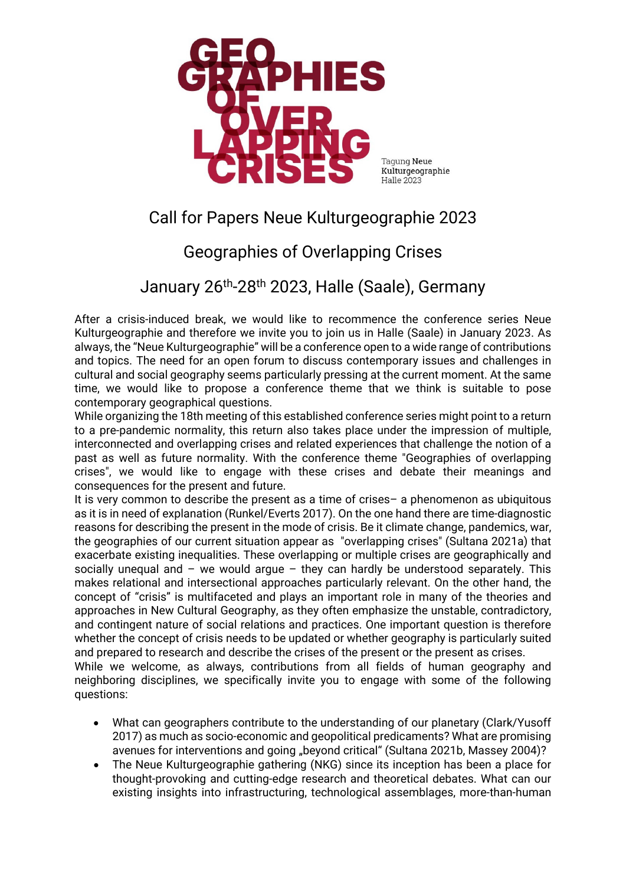

Tagung Neue Kulturgeographie Halle 2023

## Call for Papers Neue Kulturgeographie 2023

## Geographies of Overlapping Crises

January 26th-28th 2023, Halle (Saale), Germany

After a crisis-induced break, we would like to recommence the conference series Neue Kulturgeographie and therefore we invite you to join us in Halle (Saale) in January 2023. As always, the "Neue Kulturgeographie" will be a conference open to a wide range of contributions and topics. The need for an open forum to discuss contemporary issues and challenges in cultural and social geography seems particularly pressing at the current moment. At the same time, we would like to propose a conference theme that we think is suitable to pose contemporary geographical questions.

While organizing the 18th meeting of this established conference series might point to a return to a pre-pandemic normality, this return also takes place under the impression of multiple, interconnected and overlapping crises and related experiences that challenge the notion of a past as well as future normality. With the conference theme "Geographies of overlapping crises", we would like to engage with these crises and debate their meanings and consequences for the present and future.

It is very common to describe the present as a time of crises– a phenomenon as ubiquitous as it is in need of explanation (Runkel/Everts 2017). On the one hand there are time-diagnostic reasons for describing the present in the mode of crisis. Be it climate change, pandemics, war, the geographies of our current situation appear as "overlapping crises" (Sultana 2021a) that exacerbate existing inequalities. These overlapping or multiple crises are geographically and socially unequal and – we would argue – they can hardly be understood separately. This makes relational and intersectional approaches particularly relevant. On the other hand, the concept of "crisis" is multifaceted and plays an important role in many of the theories and approaches in New Cultural Geography, as they often emphasize the unstable, contradictory, and contingent nature of social relations and practices. One important question is therefore whether the concept of crisis needs to be updated or whether geography is particularly suited and prepared to research and describe the crises of the present or the present as crises.

While we welcome, as always, contributions from all fields of human geography and neighboring disciplines, we specifically invite you to engage with some of the following questions:

- What can geographers contribute to the understanding of our planetary (Clark/Yusoff 2017) as much as socio-economic and geopolitical predicaments? What are promising avenues for interventions and going "beyond critical" (Sultana 2021b, Massey 2004)?
- The Neue Kulturgeographie gathering (NKG) since its inception has been a place for thought-provoking and cutting-edge research and theoretical debates. What can our existing insights into infrastructuring, technological assemblages, more-than-human